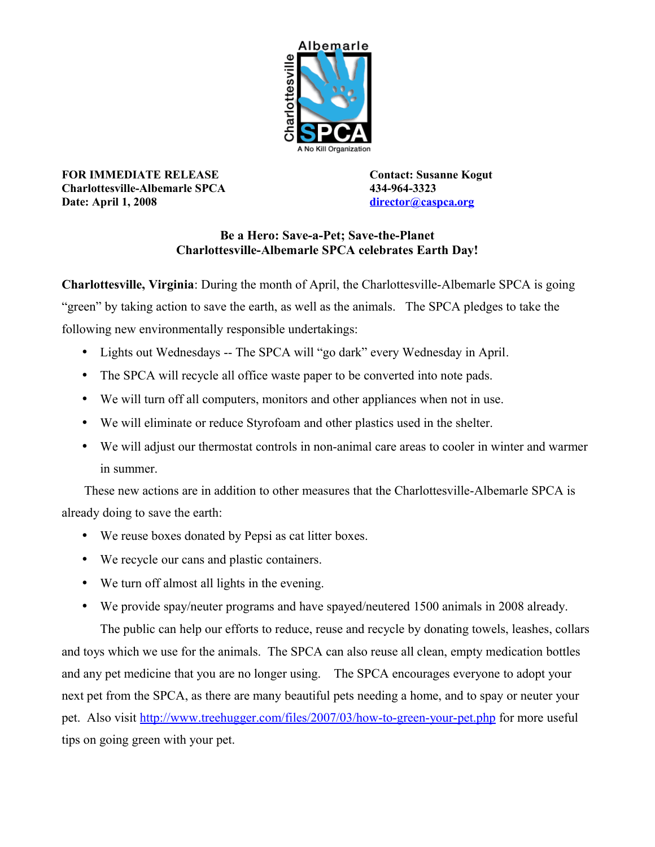

**FOR IMMEDIATE RELEASE Contact: Susanne Kogut Charlottesville-Albemarle SPCA 434-964-3323 Date: April 1, 2008 [director@caspca.org](mailto:director@caspca.org)**

## **Be a Hero: Save-a-Pet; Save-the-Planet Charlottesville-Albemarle SPCA celebrates Earth Day!**

**Charlottesville, Virginia**: During the month of April, the Charlottesville-Albemarle SPCA is going "green" by taking action to save the earth, as well as the animals. The SPCA pledges to take the following new environmentally responsible undertakings:

- Lights out Wednesdays -- The SPCA will "go dark" every Wednesday in April.
- The SPCA will recycle all office waste paper to be converted into note pads.
- We will turn off all computers, monitors and other appliances when not in use.
- We will eliminate or reduce Styrofoam and other plastics used in the shelter.
- We will adjust our thermostat controls in non-animal care areas to cooler in winter and warmer in summer.

 These new actions are in addition to other measures that the Charlottesville-Albemarle SPCA is already doing to save the earth:

- We reuse boxes donated by Pepsi as cat litter boxes.
- We recycle our cans and plastic containers.
- We turn off almost all lights in the evening.
- We provide spay/neuter programs and have spayed/neutered 1500 animals in 2008 already.

The public can help our efforts to reduce, reuse and recycle by donating towels, leashes, collars and toys which we use for the animals. The SPCA can also reuse all clean, empty medication bottles and any pet medicine that you are no longer using. The SPCA encourages everyone to adopt your next pet from the SPCA, as there are many beautiful pets needing a home, and to spay or neuter your pet. Also visit<http://www.treehugger.com/files/2007/03/how-to-green-your-pet.php>for more useful tips on going green with your pet.